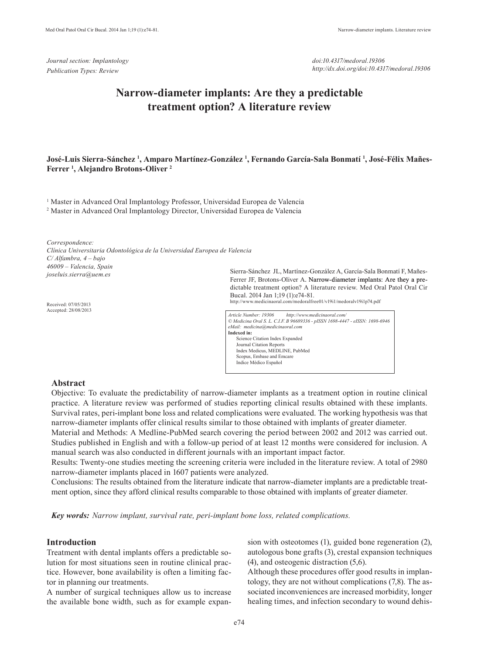*Journal section: Implantology Publication Types: Review*

*doi:10.4317/medoral.19306 http://dx.doi.org/doi:10.4317/medoral.19306*

# **Narrow-diameter implants: Are they a predictable treatment option? A literature review**

# **José-Luis Sierra-Sánchez 1 , Amparo Martínez-González 1 , Fernando García-Sala Bonmatí 1 , José-Félix Mañes-Ferrer 1 , Alejandro Brotons-Oliver 2**

<sup>1</sup> Master in Advanced Oral Implantology Professor, Universidad Europea de Valencia 2 Master in Advanced Oral Implantology Director, Universidad Europea de Valencia

*Correspondence:*

*Clínica Universitaria Odontológica de la Universidad Europea de Valencia C/ Alfambra, 4 – bajo 46009 – Valencia, Spain joseluis.sierra@uem.es*

Received: 07/05/2013 Accepted: 28/08/2013 Sierra-Sánchez JL, Martínez-González A, García-Sala Bonmatí F, Mañes-Ferrer JF, Brotons-Oliver A. Narrow-diameter implants: Are they a predictable treatment option? A literature review. Med Oral Patol Oral Cir Bucal. 2014 Jan 1;19 (1):e74-81.

http://www.medicinaoral.com/medoralfree01/v19i1/medoralv19i1p74.pdf



#### **Abstract**

Objective: To evaluate the predictability of narrow-diameter implants as a treatment option in routine clinical practice. A literature review was performed of studies reporting clinical results obtained with these implants. Survival rates, peri-implant bone loss and related complications were evaluated. The working hypothesis was that narrow-diameter implants offer clinical results similar to those obtained with implants of greater diameter.

Material and Methods: A Medline-PubMed search covering the period between 2002 and 2012 was carried out. Studies published in English and with a follow-up period of at least 12 months were considered for inclusion. A manual search was also conducted in different journals with an important impact factor.

Results: Twenty-one studies meeting the screening criteria were included in the literature review. A total of 2980 narrow-diameter implants placed in 1607 patients were analyzed.

Conclusions: The results obtained from the literature indicate that narrow-diameter implants are a predictable treatment option, since they afford clinical results comparable to those obtained with implants of greater diameter.

*Key words: Narrow implant, survival rate, peri-implant bone loss, related complications.*

## **Introduction**

Treatment with dental implants offers a predictable solution for most situations seen in routine clinical practice. However, bone availability is often a limiting factor in planning our treatments.

A number of surgical techniques allow us to increase the available bone width, such as for example expan-

sion with osteotomes (1), guided bone regeneration (2), autologous bone grafts (3), crestal expansion techniques (4), and osteogenic distraction (5,6).

Although these procedures offer good results in implantology, they are not without complications (7,8). The associated inconveniences are increased morbidity, longer healing times, and infection secondary to wound dehis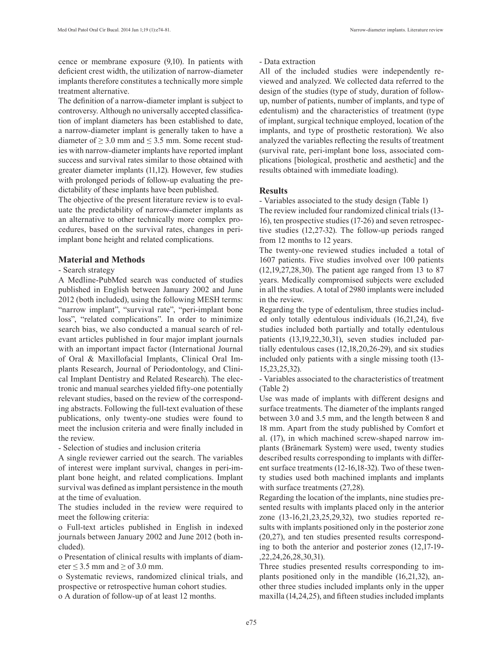cence or membrane exposure (9,10). In patients with deficient crest width, the utilization of narrow-diameter implants therefore constitutes a technically more simple treatment alternative.

The definition of a narrow-diameter implant is subject to controversy. Although no universally accepted classification of implant diameters has been established to date, a narrow-diameter implant is generally taken to have a diameter of  $\geq$  3.0 mm and  $\leq$  3.5 mm. Some recent studies with narrow-diameter implants have reported implant success and survival rates similar to those obtained with greater diameter implants (11,12). However, few studies with prolonged periods of follow-up evaluating the predictability of these implants have been published.

The objective of the present literature review is to evaluate the predictability of narrow-diameter implants as an alternative to other technically more complex procedures, based on the survival rates, changes in periimplant bone height and related complications.

## **Material and Methods**

#### - Search strategy

A Medline-PubMed search was conducted of studies published in English between January 2002 and June 2012 (both included), using the following MESH terms: "narrow implant", "survival rate", "peri-implant bone loss", "related complications". In order to minimize search bias, we also conducted a manual search of relevant articles published in four major implant journals with an important impact factor (International Journal of Oral & Maxillofacial Implants, Clinical Oral Implants Research, Journal of Periodontology, and Clinical Implant Dentistry and Related Research). The electronic and manual searches yielded fifty-one potentially relevant studies, based on the review of the corresponding abstracts. Following the full-text evaluation of these publications, only twenty-one studies were found to meet the inclusion criteria and were finally included in the review.

- Selection of studies and inclusion criteria

A single reviewer carried out the search. The variables of interest were implant survival, changes in peri-implant bone height, and related complications. Implant survival was defined as implant persistence in the mouth at the time of evaluation.

The studies included in the review were required to meet the following criteria:

o Full-text articles published in English in indexed journals between January 2002 and June 2012 (both included).

o Presentation of clinical results with implants of diameter  $\leq$  3.5 mm and  $\geq$  of 3.0 mm.

o Systematic reviews, randomized clinical trials, and prospective or retrospective human cohort studies. o A duration of follow-up of at least 12 months.

## - Data extraction

All of the included studies were independently reviewed and analyzed. We collected data referred to the design of the studies (type of study, duration of followup, number of patients, number of implants, and type of edentulism) and the characteristics of treatment (type of implant, surgical technique employed, location of the implants, and type of prosthetic restoration). We also analyzed the variables reflecting the results of treatment (survival rate, peri-implant bone loss, associated complications [biological, prosthetic and aesthetic] and the results obtained with immediate loading).

#### **Results**

- Variables associated to the study design (Table 1)

The review included four randomized clinical trials (13- 16), ten prospective studies (17-26) and seven retrospective studies (12,27-32). The follow-up periods ranged from 12 months to 12 years.

The twenty-one reviewed studies included a total of 1607 patients. Five studies involved over 100 patients (12,19,27,28,30). The patient age ranged from 13 to 87 years. Medically compromised subjects were excluded in all the studies. A total of 2980 implants were included in the review.

Regarding the type of edentulism, three studies included only totally edentulous individuals (16,21,24), five studies included both partially and totally edentulous patients (13,19,22,30,31), seven studies included partially edentulous cases (12,18,20,26-29), and six studies included only patients with a single missing tooth (13- 15,23,25,32).

- Variables associated to the characteristics of treatment (Table 2)

Use was made of implants with different designs and surface treatments. The diameter of the implants ranged between 3.0 and 3.5 mm, and the length between 8 and 18 mm. Apart from the study published by Comfort et al. (17), in which machined screw-shaped narrow implants (Bränemark System) were used, twenty studies described results corresponding to implants with different surface treatments (12-16,18-32). Two of these twenty studies used both machined implants and implants with surface treatments  $(27,28)$ .

Regarding the location of the implants, nine studies presented results with implants placed only in the anterior zone (13-16,21,23,25,29,32), two studies reported results with implants positioned only in the posterior zone (20,27), and ten studies presented results corresponding to both the anterior and posterior zones (12,17-19- ,22,24,26,28,30,31).

Three studies presented results corresponding to implants positioned only in the mandible (16,21,32), another three studies included implants only in the upper maxilla (14,24,25), and fifteen studies included implants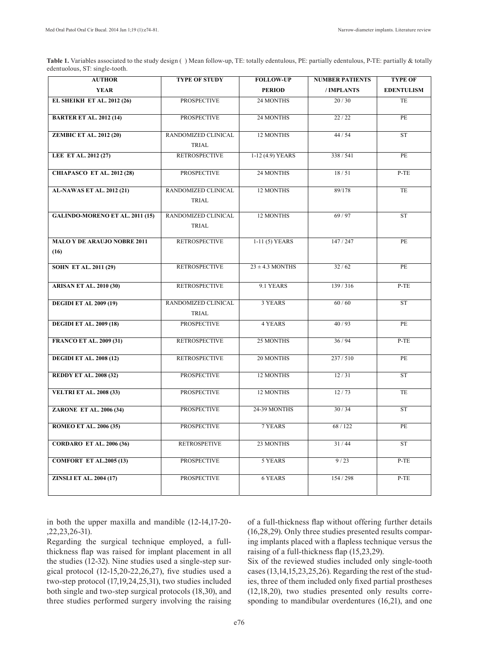Table 1. Variables associated to the study design () Mean follow-up, TE: totally edentulous, PE: partially edentulous, P-TE: partially & totally edentuolous, ST: single-tooth.

| <b>AUTHOR</b>                      | <b>TYPE OF STUDY</b> | <b>FOLLOW-UP</b>    | <b>NUMBER PATIENTS</b> | <b>TYPE OF</b>    |
|------------------------------------|----------------------|---------------------|------------------------|-------------------|
| <b>YEAR</b>                        |                      | <b>PERIOD</b>       | /IMPLANTS              | <b>EDENTULISM</b> |
| <b>EL SHEIKH ET AL. 2012 (26)</b>  | <b>PROSPECTIVE</b>   | 24 MONTHS           | 20/30                  | TE                |
|                                    | <b>PROSPECTIVE</b>   | 24 MONTHS           | 22/22                  | PE                |
| <b>BARTER ET AL. 2012 (14)</b>     |                      |                     |                        |                   |
| <b>ZEMBIC ET AL. 2012 (20)</b>     | RANDOMIZED CLINICAL  | <b>12 MONTHS</b>    | 44/54                  | <b>ST</b>         |
|                                    | <b>TRIAL</b>         |                     |                        |                   |
| LEE ET AL. 2012 (27)               | <b>RETROSPECTIVE</b> | 1-12 (4.9) YEARS    | 338 / 541              | PE                |
|                                    |                      |                     |                        |                   |
| <b>CHIAPASCO ET AL. 2012 (28)</b>  | <b>PROSPECTIVE</b>   | 24 MONTHS           | 18/51                  | $P-TE$            |
| <b>AL-NAWAS ET AL. 2012 (21)</b>   | RANDOMIZED CLINICAL  | 12 MONTHS           | 89/178                 | TE                |
|                                    | TRIAL                |                     |                        |                   |
|                                    |                      |                     |                        |                   |
| GALINDO-MORENO ET AL. 2011 (15)    | RANDOMIZED CLINICAL  | <b>12 MONTHS</b>    | 69/97                  | <b>ST</b>         |
|                                    | TRIAL                |                     |                        |                   |
| <b>MALO Y DE ARAUJO NOBRE 2011</b> | <b>RETROSPECTIVE</b> | $1-11(5)$ YEARS     | 147/247                | PE                |
| (16)                               |                      |                     |                        |                   |
|                                    |                      |                     |                        |                   |
| <b>SOHN ET AL. 2011 (29)</b>       | <b>RETROSPECTIVE</b> | $23 \pm 4.3$ MONTHS | 32/62                  | PE                |
| <b>ARISAN ET AL. 2010 (30)</b>     | <b>RETROSPECTIVE</b> | 9.1 YEARS           | 139/316                | $P-TE$            |
|                                    |                      |                     |                        |                   |
| <b>DEGIDI ET AL 2009 (19)</b>      | RANDOMIZED CLINICAL  | 3 YEARS             | 60/60                  | ST                |
|                                    | TRIAL                |                     |                        |                   |
| <b>DEGIDI ET AL. 2009 (18)</b>     | <b>PROSPECTIVE</b>   | 4 YEARS             | 40/93                  | PE                |
|                                    | <b>RETROSPECTIVE</b> | 25 MONTHS           | 36/94                  | $P-TE$            |
| <b>FRANCO ET AL. 2009 (31)</b>     |                      |                     |                        |                   |
| <b>DEGIDI ET AL. 2008 (12)</b>     | <b>RETROSPECTIVE</b> | 20 MONTHS           | 237/510                | PE                |
|                                    |                      |                     |                        |                   |
| <b>REDDY ET AL. 2008 (32)</b>      | <b>PROSPECTIVE</b>   | 12 MONTHS           | 12/31                  | <b>ST</b>         |
| <b>VELTRI ET AL. 2008 (33)</b>     | <b>PROSPECTIVE</b>   | 12 MONTHS           | 12/73                  | TE                |
|                                    |                      |                     |                        |                   |
| <b>ZARONE ET AL. 2006 (34)</b>     | <b>PROSPECTIVE</b>   | 24-39 MONTHS        | 30/34                  | ST                |
| <b>ROMEO ET AL. 2006 (35)</b>      | <b>PROSPECTIVE</b>   | 7 YEARS             | 68 / 122               | PE                |
|                                    |                      |                     |                        |                   |
| <b>CORDARO ET AL. 2006 (36)</b>    | <b>RETROSPETIVE</b>  | 23 MONTHS           | 31/44                  | <b>ST</b>         |
|                                    |                      |                     |                        |                   |
| <b>COMFORT ET AL.2005 (13)</b>     | <b>PROSPECTIVE</b>   | 5 YEARS             | 9/23                   | $P-TE$            |
| <b>ZINSLI ET AL. 2004 (17)</b>     | <b>PROSPECTIVE</b>   | 6 YEARS             | 154 / 298              | $P-TE$            |
|                                    |                      |                     |                        |                   |
|                                    |                      |                     |                        |                   |

in both the upper maxilla and mandible (12-14,17-20- ,22,23,26-31).

Regarding the surgical technique employed, a fullthickness flap was raised for implant placement in all the studies (12-32). Nine studies used a single-step surgical protocol (12-15,20-22,26,27), five studies used a two-step protocol (17,19,24,25,31), two studies included both single and two-step surgical protocols (18,30), and three studies performed surgery involving the raising of a full-thickness flap without offering further details (16,28,29). Only three studies presented results comparing implants placed with a flapless technique versus the raising of a full-thickness flap (15,23,29).

Six of the reviewed studies included only single-tooth cases (13,14,15,23,25,26). Regarding the rest of the studies, three of them included only fixed partial prostheses (12,18,20), two studies presented only results corresponding to mandibular overdentures (16,21), and one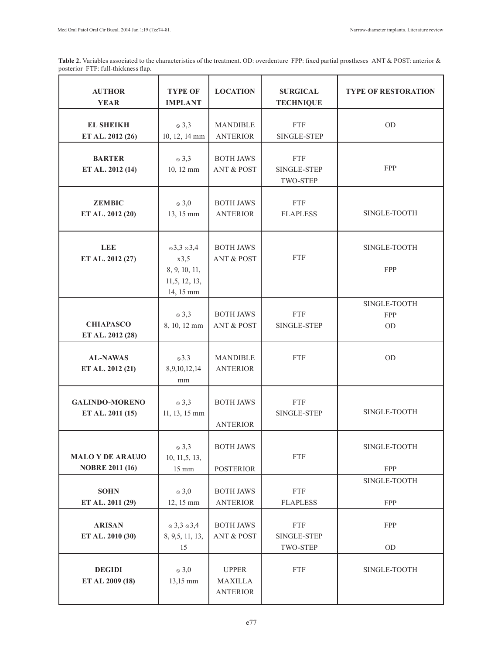Table 2. Variables associated to the characteristics of the treatment. OD: overdenture FPP: fixed partial prostheses ANT & POST: anterior & posterior FTF: full-thickness flap.

| <b>AUTHOR</b><br><b>YEAR</b>                      | <b>TYPE OF</b><br><b>IMPLANT</b>                                               | <b>LOCATION</b>                                   | <b>SURGICAL</b><br><b>TECHNIQUE</b>          | <b>TYPE OF RESTORATION</b>       |
|---------------------------------------------------|--------------------------------------------------------------------------------|---------------------------------------------------|----------------------------------------------|----------------------------------|
| <b>EL SHEIKH</b><br>ET AL. 2012 (26)              | $\circ$ 3,3<br>10, 12, 14 mm                                                   | <b>MANDIBLE</b><br><b>ANTERIOR</b>                | <b>FTF</b><br>SINGLE-STEP                    | OD                               |
| <b>BARTER</b><br>ET AL. 2012 (14)                 | $\circ$ 3,3<br>10, 12 mm                                                       | <b>BOTH JAWS</b><br><b>ANT &amp; POST</b>         | <b>FTF</b><br>SINGLE-STEP<br><b>TWO-STEP</b> | FPP                              |
| <b>ZEMBIC</b><br>ET AL. 2012 (20)                 | $\delta$ 3,0<br>13, 15 mm                                                      | <b>BOTH JAWS</b><br><b>ANTERIOR</b>               | <b>FTF</b><br><b>FLAPLESS</b>                | SINGLE-TOOTH                     |
| <b>LEE</b><br>ET AL. 2012 (27)                    | $\circ$ 3,3 $\circ$ 3,4<br>x3,5<br>8, 9, 10, 11,<br>11,5, 12, 13,<br>14, 15 mm | <b>BOTH JAWS</b><br><b>ANT &amp; POST</b>         | <b>FTF</b>                                   | SINGLE-TOOTH<br>FPP              |
| <b>CHIAPASCO</b><br>ET AL. 2012 (28)              | $\circ$ 3,3<br>8, 10, 12 mm                                                    | <b>BOTH JAWS</b><br><b>ANT &amp; POST</b>         | <b>FTF</b><br>SINGLE-STEP                    | SINGLE-TOOTH<br><b>FPP</b><br>OD |
| <b>AL-NAWAS</b><br>ET AL. 2012 (21)               | $\circ$ 3.3<br>8,9,10,12,14<br>mm                                              | <b>MANDIBLE</b><br><b>ANTERIOR</b>                | <b>FTF</b>                                   | OD                               |
| <b>GALINDO-MORENO</b><br>ET AL. 2011 (15)         | $\circ$ 3,3<br>11, 13, 15 mm                                                   | <b>BOTH JAWS</b><br><b>ANTERIOR</b>               | <b>FTF</b><br>SINGLE-STEP                    | SINGLE-TOOTH                     |
| <b>MALO Y DE ARAUJO</b><br><b>NOBRE 2011 (16)</b> | $\circ$ 3,3<br>10, 11, 5, 13,<br>$15 \text{ mm}$                               | <b>BOTH JAWS</b><br><b>POSTERIOR</b>              | <b>FTF</b>                                   | SINGLE-TOOTH<br>FPP              |
| <b>SOHN</b><br>ET AL. 2011 (29)                   | $\circ$ 3,0<br>12, 15 mm                                                       | <b>BOTH JAWS</b><br><b>ANTERIOR</b>               | <b>FTF</b><br><b>FLAPLESS</b>                | SINGLE-TOOTH<br>FPP              |
| <b>ARISAN</b><br>ET AL. 2010 (30)                 | $\circ$ 3,3 $\circ$ 3,4<br>8, 9, 5, 11, 13,<br>15                              | <b>BOTH JAWS</b><br><b>ANT &amp; POST</b>         | ${\rm FTF}$<br>SINGLE-STEP<br>TWO-STEP       | FPP<br>OD                        |
| <b>DEGIDI</b><br>ET AL 2009 (18)                  | $\delta$ 3,0<br>13,15 mm                                                       | <b>UPPER</b><br><b>MAXILLA</b><br><b>ANTERIOR</b> | <b>FTF</b>                                   | SINGLE-TOOTH                     |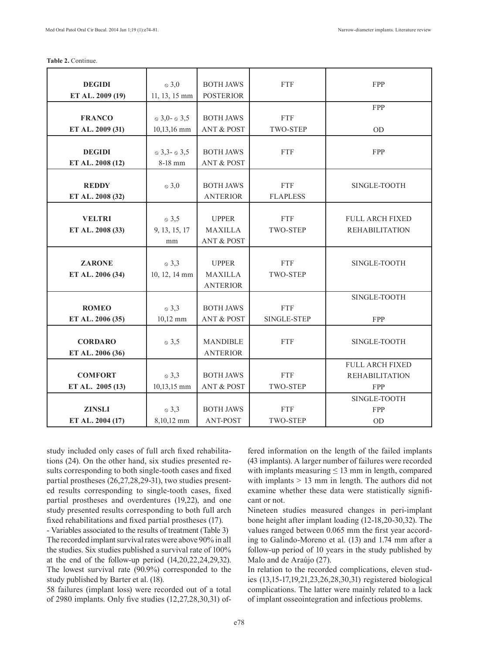|  | Table 2. Continue. |
|--|--------------------|
|--|--------------------|

| <b>DEGIDI</b>    | $\delta$ 3,0               | <b>BOTH JAWS</b>      | <b>FTF</b>      | FPP                    |
|------------------|----------------------------|-----------------------|-----------------|------------------------|
| ET AL. 2009 (19) | 11, 13, 15 mm              | <b>POSTERIOR</b>      |                 |                        |
|                  |                            |                       |                 | <b>FPP</b>             |
| <b>FRANCO</b>    | $\in$ 3,0- $\in$ 3,5       | <b>BOTH JAWS</b>      | <b>FTF</b>      |                        |
| ET AL. 2009 (31) | 10,13,16 mm                | <b>ANT &amp; POST</b> | <b>TWO-STEP</b> | <b>OD</b>              |
|                  |                            |                       |                 |                        |
| <b>DEGIDI</b>    | $\infty$ 3,3- $\infty$ 3,5 | <b>BOTH JAWS</b>      | <b>FTF</b>      | FPP                    |
| ET AL. 2008 (12) | 8-18 mm                    | <b>ANT &amp; POST</b> |                 |                        |
|                  |                            |                       |                 |                        |
| <b>REDDY</b>     | $\delta$ 3,0               | <b>BOTH JAWS</b>      | <b>FTF</b>      | SINGLE-TOOTH           |
| ET AL. 2008 (32) |                            | <b>ANTERIOR</b>       | <b>FLAPLESS</b> |                        |
|                  |                            |                       |                 |                        |
| <b>VELTRI</b>    | $\circ$ 3,5                | <b>UPPER</b>          | <b>FTF</b>      | <b>FULL ARCH FIXED</b> |
| ET AL. 2008 (33) | 9, 13, 15, 17              | <b>MAXILLA</b>        | TWO-STEP        | <b>REHABILITATION</b>  |
|                  | mm                         | <b>ANT &amp; POST</b> |                 |                        |
|                  |                            |                       |                 |                        |
| <b>ZARONE</b>    | $\circ$ 3,3                | <b>UPPER</b>          | <b>FTF</b>      | SINGLE-TOOTH           |
| ET AL. 2006 (34) | 10, 12, 14 mm              | MAXILLA               | TWO-STEP        |                        |
|                  |                            | <b>ANTERIOR</b>       |                 |                        |
|                  |                            |                       |                 | SINGLE-TOOTH           |
| <b>ROMEO</b>     | $\circ$ 3,3                | <b>BOTH JAWS</b>      | <b>FTF</b>      |                        |
| ET AL. 2006 (35) | $10,12$ mm                 | <b>ANT &amp; POST</b> | SINGLE-STEP     | FPP                    |
|                  |                            |                       |                 |                        |
| <b>CORDARO</b>   | $\otimes$ 3,5              | <b>MANDIBLE</b>       | <b>FTF</b>      | SINGLE-TOOTH           |
| ET AL. 2006 (36) |                            | <b>ANTERIOR</b>       |                 |                        |
|                  |                            |                       |                 | <b>FULL ARCH FIXED</b> |
| <b>COMFORT</b>   | $\circ$ 3,3                | <b>BOTH JAWS</b>      | <b>FTF</b>      | <b>REHABILITATION</b>  |
| ET AL. 2005 (13) | 10,13,15 mm                | <b>ANT &amp; POST</b> | TWO-STEP        | FPP                    |
|                  |                            |                       |                 | SINGLE-TOOTH           |
| <b>ZINSLI</b>    | $\circ$ 3,3                | <b>BOTH JAWS</b>      | <b>FTF</b>      | <b>FPP</b>             |
| ET AL. 2004 (17) | 8,10,12 mm                 | <b>ANT-POST</b>       | <b>TWO-STEP</b> | <b>OD</b>              |

study included only cases of full arch fixed rehabilitations (24). On the other hand, six studies presented results corresponding to both single-tooth cases and fixed partial prostheses (26,27,28,29-31), two studies presented results corresponding to single-tooth cases, fixed partial prostheses and overdentures (19,22), and one study presented results corresponding to both full arch fixed rehabilitations and fixed partial prostheses (17).

- Variables associated to the results of treatment (Table 3) The recorded implant survival rates were above 90% in all the studies. Six studies published a survival rate of 100% at the end of the follow-up period  $(14,20,22,24,29,32)$ . The lowest survival rate (90.9%) corresponded to the study published by Barter et al. (18).

58 failures (implant loss) were recorded out of a total of 2980 implants. Only five studies (12,27,28,30,31) of-

fered information on the length of the failed implants (43 implants). A larger number of failures were recorded with implants measuring  $\leq 13$  mm in length, compared with implants  $> 13$  mm in length. The authors did not examine whether these data were statistically significant or not.

Nineteen studies measured changes in peri-implant bone height after implant loading (12-18,20-30,32). The values ranged between 0.065 mm the first year according to Galindo-Moreno et al. (13) and 1.74 mm after a follow-up period of 10 years in the study published by Malo and de Araújo (27).

In relation to the recorded complications, eleven studies (13,15-17,19,21,23,26,28,30,31) registered biological complications. The latter were mainly related to a lack of implant osseointegration and infectious problems.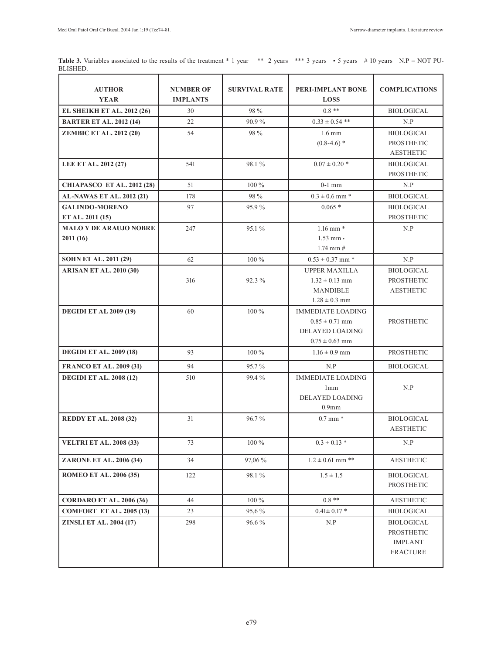**Table 3.** Variables associated to the results of the treatment \* 1 year \*\* 2 years \*\*\* 3 years \*5 years # 10 years N.P = NOT PU-BLISHED.

| <b>AUTHOR</b><br><b>YEAR</b>      | <b>NUMBER OF</b><br><b>IMPLANTS</b> | <b>SURVIVAL RATE</b> | <b>PERI-IMPLANT BONE</b><br><b>LOSS</b> | <b>COMPLICATIONS</b>                  |
|-----------------------------------|-------------------------------------|----------------------|-----------------------------------------|---------------------------------------|
| <b>EL SHEIKH ET AL. 2012 (26)</b> | 30                                  | 98 %                 | $0.8**$                                 | <b>BIOLOGICAL</b>                     |
| <b>BARTER ET AL. 2012 (14)</b>    | 22                                  | 90.9%                | $0.33 \pm 0.54$ **                      | N.P                                   |
| <b>ZEMBIC ET AL. 2012 (20)</b>    | 54                                  | 98 %                 | $1.6 \text{ mm}$                        | <b>BIOLOGICAL</b>                     |
|                                   |                                     |                      | $(0.8-4.6)$ *                           | <b>PROSTHETIC</b>                     |
|                                   |                                     |                      |                                         | <b>AESTHETIC</b>                      |
| LEE ET AL. 2012 (27)              | 541                                 | 98.1%                | $0.07 \pm 0.20$ *                       | <b>BIOLOGICAL</b>                     |
|                                   |                                     |                      |                                         | PROSTHETIC                            |
| <b>CHIAPASCO ET AL. 2012 (28)</b> | 51                                  | $100\%$              | $0-1$ mm                                | N.P                                   |
| AL-NAWAS ET AL. 2012 (21)         | 178                                 | 98 %                 | $0.3 \pm 0.6$ mm $*$                    | <b>BIOLOGICAL</b>                     |
| <b>GALINDO-MORENO</b>             | 97                                  | 95.9%                | $0.065*$                                | <b>BIOLOGICAL</b>                     |
| ET AL. 2011 (15)                  |                                     |                      |                                         | <b>PROSTHETIC</b>                     |
| <b>MALO Y DE ARAUJO NOBRE</b>     | 247                                 | 95.1 %               | $1.16$ mm $*$                           | N.P                                   |
| 2011(16)                          |                                     |                      | $1.53$ mm $\cdot$                       |                                       |
|                                   |                                     |                      | $1.74$ mm $#$                           |                                       |
| <b>SOHN ET AL. 2011 (29)</b>      | 62                                  | 100 %                | $0.53 \pm 0.37$ mm $*$                  | N.P                                   |
| <b>ARISAN ET AL. 2010 (30)</b>    |                                     |                      | <b>UPPER MAXILLA</b>                    | <b>BIOLOGICAL</b>                     |
|                                   | 316                                 | 92.3 %               | $1.32 \pm 0.13$ mm                      | PROSTHETIC                            |
|                                   |                                     |                      | <b>MANDIBLE</b>                         | <b>AESTHETIC</b>                      |
|                                   |                                     |                      | $1.28 \pm 0.3$ mm                       |                                       |
| <b>DEGIDI ET AL 2009 (19)</b>     | 60                                  | 100 %                | <b>IMMEDIATE LOADING</b>                |                                       |
|                                   |                                     |                      | $0.85 \pm 0.71$ mm                      | <b>PROSTHETIC</b>                     |
|                                   |                                     |                      | <b>DELAYED LOADING</b>                  |                                       |
|                                   | 93                                  | 100 %                | $0.75 \pm 0.63$ mm<br>$1.16 \pm 0.9$ mm | PROSTHETIC                            |
| <b>DEGIDI ET AL. 2009 (18)</b>    |                                     |                      |                                         |                                       |
| <b>FRANCO ET AL. 2009 (31)</b>    | 94                                  | 95.7%                | N.P                                     | <b>BIOLOGICAL</b>                     |
| <b>DEGIDI ET AL. 2008 (12)</b>    | 510                                 | 99.4%                | <b>IMMEDIATE LOADING</b>                |                                       |
|                                   |                                     |                      | 1mm                                     | N.P                                   |
|                                   |                                     |                      | <b>DELAYED LOADING</b>                  |                                       |
|                                   |                                     |                      | 0.9 <sub>mm</sub>                       |                                       |
| <b>REDDY ET AL. 2008 (32)</b>     | 31                                  | 96.7%                | $0.7 \text{ mm}$ *                      | <b>BIOLOGICAL</b><br><b>AESTHETIC</b> |
|                                   |                                     |                      |                                         |                                       |
| <b>VELTRI ET AL. 2008 (33)</b>    | 73                                  | 100 %                | $0.3 \pm 0.13$ *                        | N.P                                   |
| ZARONE ET AL. 2006 (34)           | 34                                  | 97,06 %              | $1.2 \pm 0.61$ mm **                    | <b>AESTHETIC</b>                      |
| <b>ROMEO ET AL. 2006 (35)</b>     | 122                                 | 98.1%                | $1.5 \pm 1.5$                           | <b>BIOLOGICAL</b>                     |
|                                   |                                     |                      |                                         | PROSTHETIC                            |
| <b>CORDARO ET AL. 2006 (36)</b>   | 44                                  | $100\%$              | $0.8**$                                 | <b>AESTHETIC</b>                      |
| <b>COMFORT ET AL. 2005 (13)</b>   | 23                                  | 95,6%                | $0.41 \pm 0.17$ *                       | <b>BIOLOGICAL</b>                     |
| <b>ZINSLI ET AL. 2004 (17)</b>    | 298                                 | 96.6%                | N.P                                     | <b>BIOLOGICAL</b>                     |
|                                   |                                     |                      |                                         | <b>PROSTHETIC</b>                     |
|                                   |                                     |                      |                                         | <b>IMPLANT</b>                        |
|                                   |                                     |                      |                                         | <b>FRACTURE</b>                       |
|                                   |                                     |                      |                                         |                                       |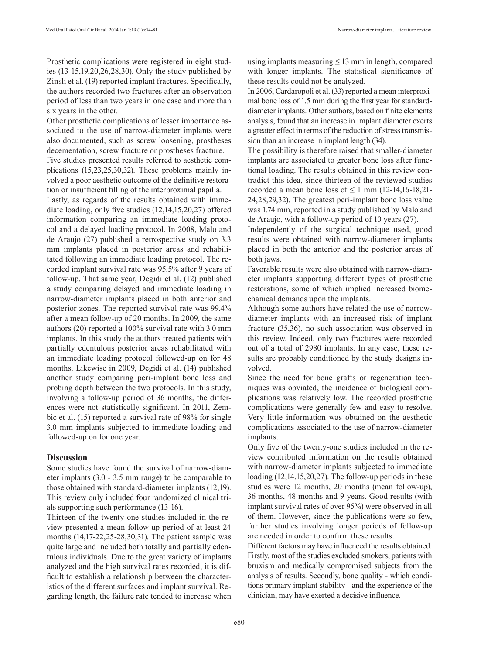Prosthetic complications were registered in eight studies (13-15,19,20,26,28,30). Only the study published by Zinsli et al. (19) reported implant fractures. Specifically, the authors recorded two fractures after an observation period of less than two years in one case and more than six years in the other.

Other prosthetic complications of lesser importance associated to the use of narrow-diameter implants were also documented, such as screw loosening, prostheses decementation, screw fracture or prostheses fracture.

Five studies presented results referred to aesthetic complications (15,23,25,30,32). These problems mainly involved a poor aesthetic outcome of the definitive restoration or insufficient filling of the interproximal papilla.

Lastly, as regards of the results obtained with immediate loading, only five studies (12,14,15,20,27) offered information comparing an immediate loading protocol and a delayed loading protocol. In 2008, Malo and de Araujo (27) published a retrospective study on 3.3 mm implants placed in posterior areas and rehabilitated following an immediate loading protocol. The recorded implant survival rate was 95.5% after 9 years of follow-up. That same year, Degidi et al. (12) published a study comparing delayed and immediate loading in narrow-diameter implants placed in both anterior and posterior zones. The reported survival rate was 99.4% after a mean follow-up of 20 months. In 2009, the same authors (20) reported a 100% survival rate with 3.0 mm implants. In this study the authors treated patients with partially edentulous posterior areas rehabilitated with an immediate loading protocol followed-up on for 48 months. Likewise in 2009, Degidi et al. (14) published another study comparing peri-implant bone loss and probing depth between the two protocols. In this study, involving a follow-up period of 36 months, the differences were not statistically significant. In 2011, Zembic et al. (15) reported a survival rate of 98% for single 3.0 mm implants subjected to immediate loading and followed-up on for one year.

#### **Discussion**

Some studies have found the survival of narrow-diameter implants (3.0 - 3.5 mm range) to be comparable to those obtained with standard-diameter implants (12,19). This review only included four randomized clinical trials supporting such performance (13-16).

Thirteen of the twenty-one studies included in the review presented a mean follow-up period of at least 24 months (14,17-22,25-28,30,31). The patient sample was quite large and included both totally and partially edentulous individuals. Due to the great variety of implants analyzed and the high survival rates recorded, it is difficult to establish a relationship between the characteristics of the different surfaces and implant survival. Regarding length, the failure rate tended to increase when using implants measuring  $\leq 13$  mm in length, compared with longer implants. The statistical significance of these results could not be analyzed.

In 2006, Cardaropoli et al. (33) reported a mean interproximal bone loss of 1.5 mm during the first year for standarddiameter implants. Other authors, based on finite elements analysis, found that an increase in implant diameter exerts a greater effect in terms of the reduction of stress transmission than an increase in implant length (34).

The possibility is therefore raised that smaller-diameter implants are associated to greater bone loss after functional loading. The results obtained in this review contradict this idea, since thirteen of the reviewed studies recorded a mean bone loss of  $\leq 1$  mm (12-14,16-18,21-24,28,29,32). The greatest peri-implant bone loss value was 1.74 mm, reported in a study published by Malo and de Araujo, with a follow-up period of 10 years (27).

Independently of the surgical technique used, good results were obtained with narrow-diameter implants placed in both the anterior and the posterior areas of both jaws.

Favorable results were also obtained with narrow-diameter implants supporting different types of prosthetic restorations, some of which implied increased biomechanical demands upon the implants.

Although some authors have related the use of narrowdiameter implants with an increased risk of implant fracture (35,36), no such association was observed in this review. Indeed, only two fractures were recorded out of a total of 2980 implants. In any case, these results are probably conditioned by the study designs involved.

Since the need for bone grafts or regeneration techniques was obviated, the incidence of biological complications was relatively low. The recorded prosthetic complications were generally few and easy to resolve. Very little information was obtained on the aesthetic complications associated to the use of narrow-diameter implants.

Only five of the twenty-one studies included in the review contributed information on the results obtained with narrow-diameter implants subjected to immediate loading (12,14,15,20,27). The follow-up periods in these studies were 12 months, 20 months (mean follow-up), 36 months, 48 months and 9 years. Good results (with implant survival rates of over 95%) were observed in all of them. However, since the publications were so few, further studies involving longer periods of follow-up are needed in order to confirm these results.

Different factors may have influenced the results obtained. Firstly, most of the studies excluded smokers, patients with bruxism and medically compromised subjects from the analysis of results. Secondly, bone quality - which conditions primary implant stability - and the experience of the clinician, may have exerted a decisive influence.